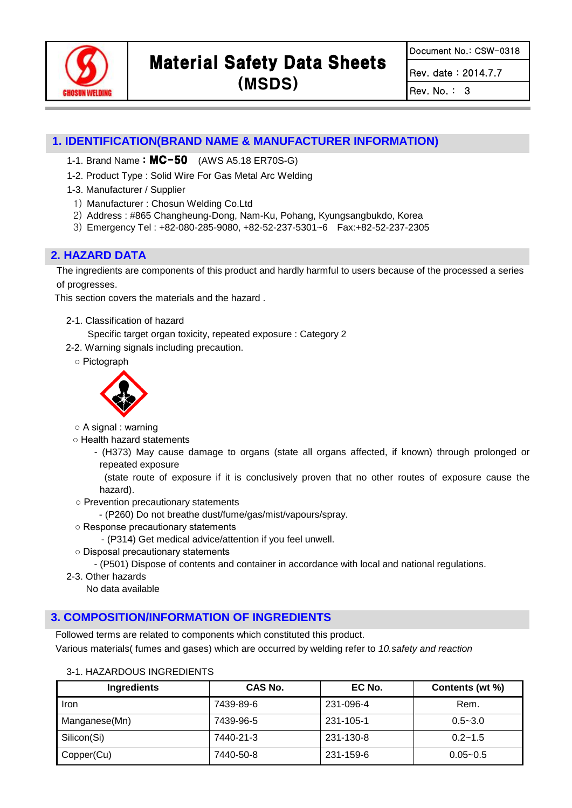

Document No.: CSW-0318

Rev. date : 2014.7.7

Rev. No. : 3

## **1. IDENTIFICATION(BRAND NAME & MANUFACTURER INFORMATION)**

- 1-1. Brand Name: **MC-50** (AWS A5.18 ER70S-G)
- 1-2. Product Type : Solid Wire For Gas Metal Arc Welding
- 1-3. Manufacturer / Supplier
	- 1) Manufacturer : Chosun Welding Co.Ltd
	- 2) Address : #865 Changheung-Dong, Nam-Ku, Pohang, Kyungsangbukdo, Korea
- 3) Emergency Tel : +82-080-285-9080, +82-52-237-5301~6 Fax:+82-52-237-2305

## **2. HAZARD DATA**

The ingredients are components of this product and hardly harmful to users because of the processed a series of progresses.

This section covers the materials and the hazard .

- 2-1. Classification of hazard
- Specific target organ toxicity, repeated exposure : Category 2
- 2-2. Warning signals including precaution.
	- Pictograph



- A signal : warning
- Health hazard statements
	- (H373) May cause damage to organs (state all organs affected, if known) through prolonged or repeated exposure

(state route of exposure if it is conclusively proven that no other routes of exposure cause the hazard).

- Prevention precautionary statements
	- (P260) Do not breathe dust/fume/gas/mist/vapours/spray.
- Response precautionary statements
	- (P314) Get medical advice/attention if you feel unwell.
- Disposal precautionary statements

- (P501) Dispose of contents and container in accordance with local and national regulations.

2-3. Other hazards

No data available

### **3. COMPOSITION/INFORMATION OF INGREDIENTS**

Followed terms are related to components which constituted this product.

Various materials( fumes and gases) which are occurred by welding refer to *10.safety and reaction*

| Ingredients   | <b>CAS No.</b> | EC No.    | Contents (wt %) |  |
|---------------|----------------|-----------|-----------------|--|
| <b>Iron</b>   | 7439-89-6      | 231-096-4 | Rem.            |  |
| Manganese(Mn) | 7439-96-5      | 231-105-1 | $0.5 - 3.0$     |  |
| Silicon(Si)   | 7440-21-3      | 231-130-8 | $0.2 - 1.5$     |  |
| Copper(Cu)    | 7440-50-8      | 231-159-6 | $0.05 - 0.5$    |  |

#### 3-1. HAZARDOUS INGREDIENTS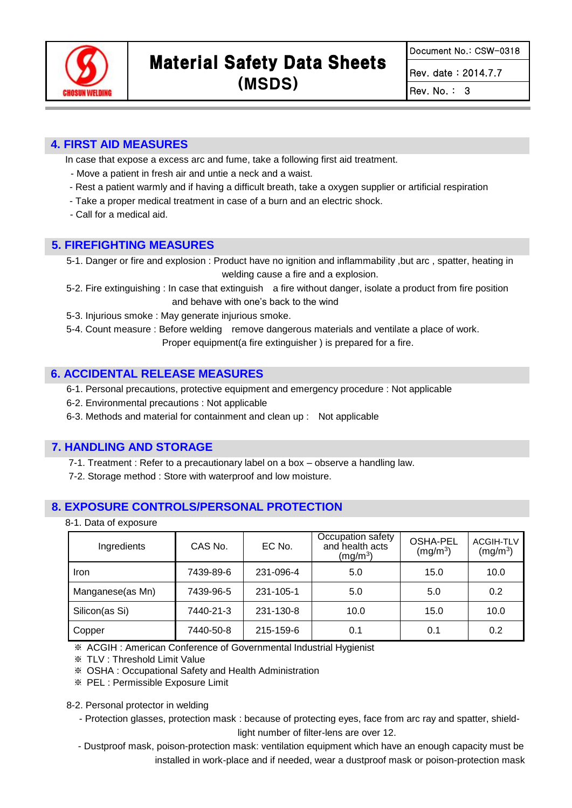

Document No.: CSW-0318

Rev. date : 2014.7.7

Rev. No. : 3

## **4. FIRST AID MEASURES**

In case that expose a excess arc and fume, take a following first aid treatment.

- Move a patient in fresh air and untie a neck and a waist.
- Rest a patient warmly and if having a difficult breath, take a oxygen supplier or artificial respiration
- Take a proper medical treatment in case of a burn and an electric shock.
- Call for a medical aid.

## **5. FIREFIGHTING MEASURES**

5-1. Danger or fire and explosion : Product have no ignition and inflammability ,but arc , spatter, heating in welding cause a fire and a explosion.

- 5-2. Fire extinguishing : In case that extinguish a fire without danger, isolate a product from fire position and behave with one's back to the wind
- 5-3. Injurious smoke : May generate injurious smoke.

5-4. Count measure : Before welding remove dangerous materials and ventilate a place of work.

Proper equipment(a fire extinguisher ) is prepared for a fire.

## **6. ACCIDENTAL RELEASE MEASURES**

6-1. Personal precautions, protective equipment and emergency procedure : Not applicable

- 6-2. Environmental precautions : Not applicable
- 6-3. Methods and material for containment and clean up : Not applicable

## **7. HANDLING AND STORAGE**

7-1. Treatment : Refer to a precautionary label on a box – observe a handling law.

7-2. Storage method : Store with waterproof and low moisture.

## **8. EXPOSURE CONTROLS/PERSONAL PROTECTION**

8-1. Data of exposure

| Ingredients      | CAS No.   | EC No.    | Occupation safety<br>and health acts<br>(mg/m <sup>3</sup> ) | OSHA-PEL<br>(mg/m <sup>3</sup> ) | <b>ACGIH-TLV</b><br>$(mg/m^3)$ |
|------------------|-----------|-----------|--------------------------------------------------------------|----------------------------------|--------------------------------|
| Iron             | 7439-89-6 | 231-096-4 | 5.0                                                          | 15.0                             | 10.0                           |
| Manganese(as Mn) | 7439-96-5 | 231-105-1 | 5.0                                                          | 5.0                              | 0.2                            |
| Silicon(as Si)   | 7440-21-3 | 231-130-8 | 10.0                                                         | 15.0                             | 10.0                           |
| Copper           | 7440-50-8 | 215-159-6 | 0.1                                                          | 0.1                              | 0.2                            |

※ ACGIH : American Conference of Governmental Industrial Hygienist

※ TLV : Threshold Limit Value

※ OSHA : Occupational Safety and Health Administration

※ PEL : Permissible Exposure Limit

8-2. Personal protector in welding

- Protection glasses, protection mask : because of protecting eyes, face from arc ray and spatter, shieldlight number of filter-lens are over 12.
- Dustproof mask, poison-protection mask: ventilation equipment which have an enough capacity must be installed in work-place and if needed, wear a dustproof mask or poison-protection mask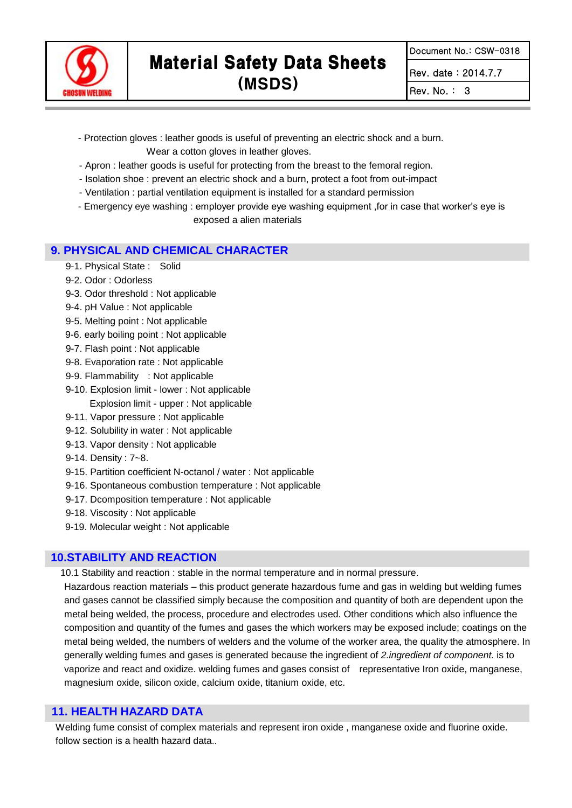

Rev. date : 2014.7.7

Rev. No. : 3

- Protection gloves : leather goods is useful of preventing an electric shock and a burn. Wear a cotton gloves in leather gloves.
- Apron : leather goods is useful for protecting from the breast to the femoral region.
- Isolation shoe : prevent an electric shock and a burn, protect a foot from out-impact
- Ventilation : partial ventilation equipment is installed for a standard permission
- Emergency eye washing : employer provide eye washing equipment ,for in case that worker's eye is exposed a alien materials

#### **9. PHYSICAL AND CHEMICAL CHARACTER**

- 9-1. Physical State : Solid
- 9-2. Odor : Odorless
- 9-3. Odor threshold : Not applicable
- 9-4. pH Value : Not applicable
- 9-5. Melting point : Not applicable
- 9-6. [early](javascript:endicAutoLink() [boiling point](javascript:endicAutoLink() : Not applicable
- 9-7. Flash point : Not applicable
- 9-8. Evaporation rate : Not applicable
- 9-9. Flammability : Not applicable
- 9-10. Explosion limit lower : Not applicable Explosion limit - upper : Not applicable
- 9-11. Vapor pressure : Not applicable
- 9-12. Solubility in water : Not applicable
- 9-13. [Vapor density](http://endic.naver.com/enkrEntry.nhn?entryId=6d9809571e26488bb21f9c097451d05f) : Not applicable
- 9-14. Density : 7~8.
- 9-15. Partition coefficient N-octanol / water : Not applicable
- 9-16. [Spontaneous combustion](javascript:endicAutoLink() [temperature](javascript:endicAutoLink() : Not applicable
- 9-17. [Dcomposition](javascript:endicAutoLink() [temperature](javascript:endicAutoLink() : Not applicable
- 9-18. Viscosity : Not applicable
- 9-19. Molecular weight : Not applicable

#### **10.STABILITY AND REACTION**

10.1 Stability and reaction : stable in the normal temperature and in normal pressure.

Hazardous reaction materials – this product generate hazardous fume and gas in welding but welding fumes and gases cannot be classified simply because the composition and quantity of both are dependent upon the metal being welded, the process, procedure and electrodes used. Other conditions which also influence the composition and quantity of the fumes and gases the which workers may be exposed include; coatings on the metal being welded, the numbers of welders and the volume of the worker area, the quality the atmosphere. In generally welding fumes and gases is generated because the ingredient of *2.ingredient of component.* is to vaporize and react and oxidize. welding fumes and gases consist of representative Iron oxide, manganese, magnesium oxide, silicon oxide, calcium oxide, titanium oxide, etc.

### **11. HEALTH HAZARD DATA**

Welding fume consist of complex materials and represent iron oxide , manganese oxide and fluorine oxide. follow section is a health hazard data..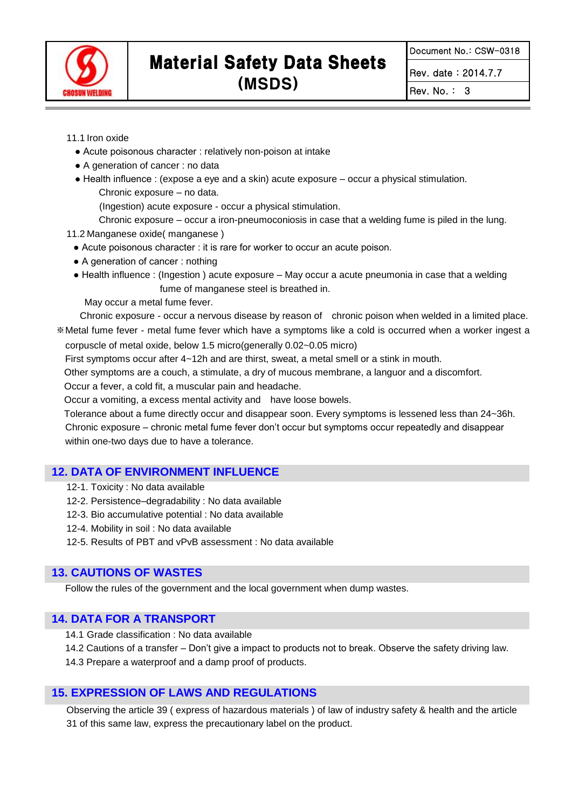

Document No.: CSW-0318

Rev. date : 2014.7.7

Rev. No. : 3

11.1 Iron oxide

- Acute poisonous character : relatively non-poison at intake
- A generation of cancer : no data
- Health influence : (expose a eye and a skin) acute exposure occur a physical stimulation. Chronic exposure – no data.

(Ingestion) acute exposure - occur a physical stimulation.

Chronic exposure – occur a iron-pneumoconiosis in case that a welding fume is piled in the lung.

11.2 Manganese oxide( manganese )

- Acute poisonous character : it is rare for worker to occur an acute poison.
- A generation of cancer : nothing
- Health influence : (Ingestion ) acute exposure May occur a acute pneumonia in case that a welding fume of manganese steel is breathed in.

May occur a metal fume fever.

 Chronic exposure - occur a nervous disease by reason of chronic poison when welded in a limited place. ※Metal fume fever - metal fume fever which have a symptoms like a cold is occurred when a worker ingest a corpuscle of metal oxide, below 1.5 micro(generally 0.02~0.05 micro)

First symptoms occur after 4~12h and are thirst, sweat, a metal smell or a stink in mouth.

Other symptoms are a couch, a stimulate, a dry of mucous membrane, a languor and a discomfort.

Occur a fever, a cold fit, a muscular pain and headache.

Occur a vomiting, a excess mental activity and have loose bowels.

Tolerance about a fume directly occur and disappear soon. Every symptoms is lessened less than 24~36h. Chronic exposure – chronic metal fume fever don't occur but symptoms occur repeatedly and disappear within one-two days due to have a tolerance.

#### **12. DATA OF ENVIRONMENT INFLUENCE**

- 12-1. Toxicity : No data available
- 12-2. Persistence–degradability : No data available
- 12-3. Bio accumulative potential : No data available
- 12-4. Mobility in soil : No data available
- 12-5. Results of PBT and vPvB assessment : No data available

### **13. CAUTIONS OF WASTES**

Follow the rules of the government and the local government when dump wastes.

### **14. DATA FOR A TRANSPORT**

- 14.1 Grade classification : No data available
- 14.2 Cautions of a transfer Don't give a impact to products not to break. Observe the safety driving law.

14.3 Prepare a waterproof and a damp proof of products.

### **15. EXPRESSION OF LAWS AND REGULATIONS**

Observing the article 39 ( express of hazardous materials ) of law of industry safety & health and the article 31 of this same law, express the precautionary label on the product.